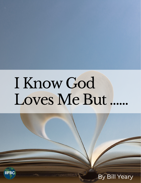## I Know God Loves Me But.

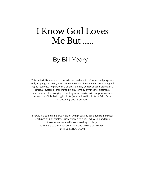## I Know God Loves Me But......

## By Bill Yeary

This material is intended to provide the reader with informational purposes only. Copyright © 2022, International Institute of Faith Based Counseling. All rights reserved. No part of this publication may be reproduced, stored, in a retrieval system or transmitted in any form by any means, electronic, mechanical, photocopying, recording, or otherwise, without prior written permission of Life Training Institute (International Institute of Faith Based Counseling), and its authors.

IIFBC is a credentialing organization with programs designed from biblical teachings and principles. Our Mission is to guide, education and train those who are called into counseling ministry. Click here to check out our school and browse our courses at [IIFBC-SCHOOL.COM](https://www.iifbc-school.com/)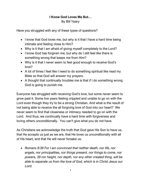## **I Know God Loves Me But…** By Bill Yeary

Have you struggled with any of these types of questions?

- I know that God loves me, but why is it that I have a hard time being intimate and feeling close to Him?
- Why is it that I am afraid of giving myself completely to the Lord?
- I know God has forgiven me, but why do I still feel like there is something wrong that keeps me from Him?
- Why is it that I never seem to feel good enough to receive God's love?
- A lot of times I feel like I need to do something spiritual like read my Bible so that God will answer my prayers.
- A thought that continually troubles me is that if I do something wrong God is going to punish me.

Everyone has struggled with receiving God's love, but some never seem to grow past it. Some live years feeling crippled and unable to go on with the Lord even though they try to be a strong Christian. And what is the result of not being able to receive the all forgiving love of God into our heart? We never seem to find that closeness or intimacy needed to go on with the Lord. And thus, we continually have a hard time with forgiveness and loving others unconditionally. You can't give what you do not have.

As Christians we acknowledge the truth that God gave His Son to have us, that He accepts us just as we are, that He loves us unconditionally with all of His heart, and that He will never forsake us.

• *Romans 8:38 For I am convinced that neither death, nor life, nor angels, nor principalities, nor things present, nor things to come, nor powers, 39 nor height, nor depth, nor any other created thing, will be able to separate us from the love of God, which is in Christ Jesus our Lord.*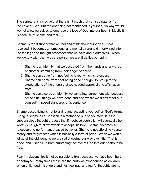The scripture is inclusive that there isn't much that can separate us from the Love of God. But the one thing not mentioned is yourself. So why would we not allow ourselves to embrace the love of God into our heart? Mostly it is because of shame and fear.

Shame is the dishonor that we feel and think about ourselves. If not resolved, it becomes an emotional and mental stronghold intertwined into the feelings and thought processes that we have about ourselves. When we identify with shame as the person we are, it defiles our spirit.

- 1. Shame is an identity that we accepted from the hands and/or words of another stemming from their anger or abuse.
- 2. Shame can come from not feeling loved, which is rejection.
- 3. Shame can come from "not being good enough" to live up to the expectations of the one(s) that we needed approval and affirmation from.
- 4. Shame can also be an identity we came into agreement with because of the sinful things we have done and also where we didn't meet our own self-imposed standards of acceptance.

Shame-based living is not forgiving and accepting yourself on God's terms. Living in shame as a Christian is a method to punish yourself. It is the subconscious thought process that if I debase yourself, I will eventually be worthy enough to allow myself to accept His love. Shame becomes selfrejection and performance-based behavior. Shame is not affording yourself mercy and forgiveness which is basically a form of pride. When we won't let go of the old identity, we are still choosing our way over His. That is pride, and it keeps us from embracing the love of God into our hearts to be free.

Fear in relationships is not being able to trust because we have been hurt or betrayed. Many times these are the hurts we experienced as children. When childhood misunderstandings, feelings, and fearful thoughts are not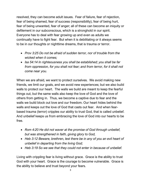resolved, they can become adult issues. Fear of failure, fear of rejection, fear of being shamed, fear of success (responsibility), fear of being hurt, fear of being unwanted, fear of anger; all of these can become an iniquity or defilement in our subconscious, which is a stronghold in our spirit. Everyone has to deal with fear growing up and even as adults we continually have to fight fear. But when it is debilitating or it always seems to be in our thoughts or nighttime dreams, that is trauma or terror.

- *Prov 3:25 Do not be afraid of sudden terror, nor of trouble from the wicked when it comes;*
- *Isa 54:14 In righteousness you shall be established; you shall be far from oppression, for you shall not fear; and from terror, for it shall not come near you.*

When we are afraid, we want to protect ourselves. We avoid making new friends, we limit our goals, and we avoid new experiences; but we also build walls to protect our heart. The walls we build are meant to keep the fearful things out, but the same walls also keep the love of God and the love of others from getting in. Thus, we become a captive due to fear and the walls we build block out love and our freedom. Our heart hides behind the walls and keeps out the love of God that casts out fear. And when fearbased trauma (terror) cripples our ability to trust God, that is called unbelief. And unbelief keeps us from embracing the love of God into our hearts to be free.

- *Rom 4:20 He did not waver at the promise of God through unbelief, but was strengthened in faith, giving glory to God,*
- *Heb 3:12 Beware, brethren, lest there be in any of you an evil heart of unbelief in departing from the living God;*
- *Heb 3:19 So we see that they could not enter in because of unbelief.*

Living with crippling fear is living without grace. Grace is the ability to trust God with your heart. Grace is the courage to become vulnerable. Grace is the ability to believe and trust beyond your fears.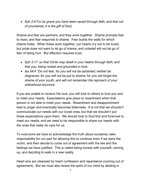• *Eph 2:8 For by grace you have been saved through faith, and that not of yourselves; it is the gift of God,*

Shame and fear are partners, and they work together. Shame prompts fear to react, and fear responds to shame. Fear builds the walls for which shame hides. When these work together, our hearts cry out to be loved, but pride does not want to let go of shame, and unbelief will not let go of fear of being hurt. But affection requires trust.

- *Eph 3:17 so that Christ may dwell in your hearts through faith; and that you, being rooted and grounded in love,*
- *Isa 54:4 "Do not fear, for you will not be ashamed; neither be disgraced, for you will not be put to shame; for you will forget the shame of your youth, and will not remember the reproach of your widowhood anymore.*

If you are unable to receive His love, you will look to others to love you and to meet your needs. Expectations give place to resentment when that person is not able to meet your needs. Resentment and disappointment lead to anger and eventually becomes bitterness. It is not that we shouldn't communicate our needs with our loved ones, but that we shouldn't put those expectations upon them. We should look to God first and foremost to meet our needs, and we need to be responsible to share our hearts with the ones that really do care for us.

To overcome we have to acknowledge the truth about ourselves, take responsibility for our part for allowing this to continue even if we were the victim, and then decide to come out of agreement with the lies and the feelings we have justified. This is called being honest with yourself, owning up, and deciding to walk in a new reality.

Heart sins are cleansed by heart confession and repentance (coming out of agreement). But we must also renew the spirit of our mind by abiding in